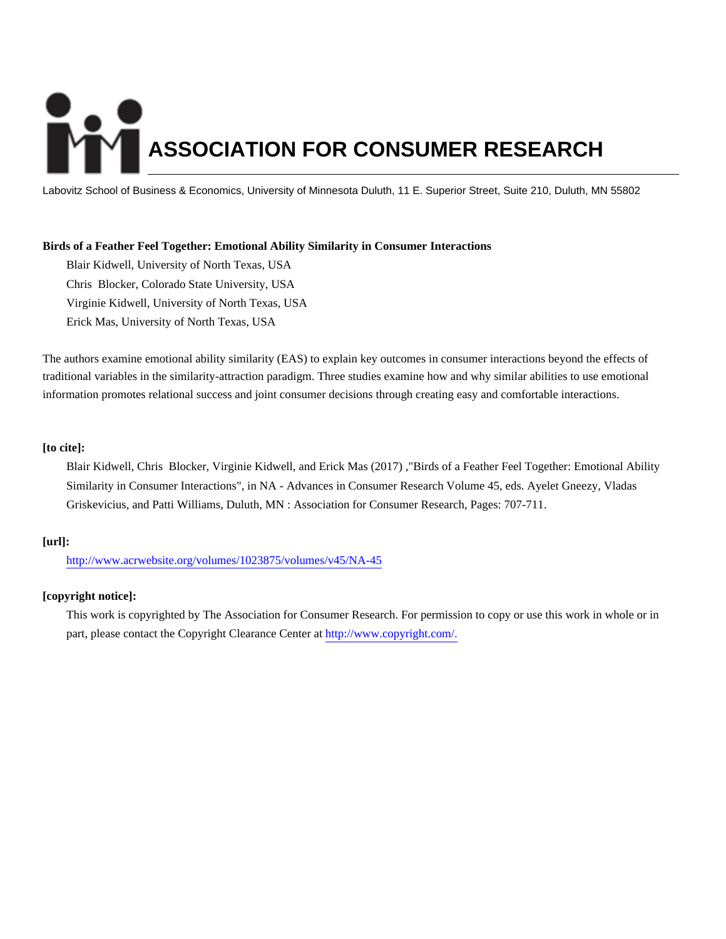# **ASSOCIATION FOR CONSUMER RESEARCH**

Labovitz School of Business & Economics, University of Minnesota Duluth, 11 E. Superior Street, Suite 210, Duluth, MN 55802

# **Birds of a Feather Feel Together: Emotional Ability Similarity in Consumer Interactions**

Blair Kidwell, University of North Texas, USA Chris Blocker, Colorado State University, USA Virginie Kidwell, University of North Texas, USA Erick Mas, University of North Texas, USA

The authors examine emotional ability similarity (EAS) to explain key outcomes in consumer interactions beyond the effects of traditional variables in the similarity-attraction paradigm. Three studies examine how and why similar abilities to use emotional information promotes relational success and joint consumer decisions through creating easy and comfortable interactions.

# **[to cite]:**

Blair Kidwell, Chris Blocker, Virginie Kidwell, and Erick Mas (2017) ,"Birds of a Feather Feel Together: Emotional Ability Similarity in Consumer Interactions", in NA - Advances in Consumer Research Volume 45, eds. Ayelet Gneezy, Vladas Griskevicius, and Patti Williams, Duluth, MN : Association for Consumer Research, Pages: 707-711.

# **[url]:**

<http://www.acrwebsite.org/volumes/1023875/volumes/v45/NA-45>

# **[copyright notice]:**

This work is copyrighted by The Association for Consumer Research. For permission to copy or use this work in whole or in part, please contact the Copyright Clearance Center at [http://www.copyright.com/.](http://www.copyright.com/)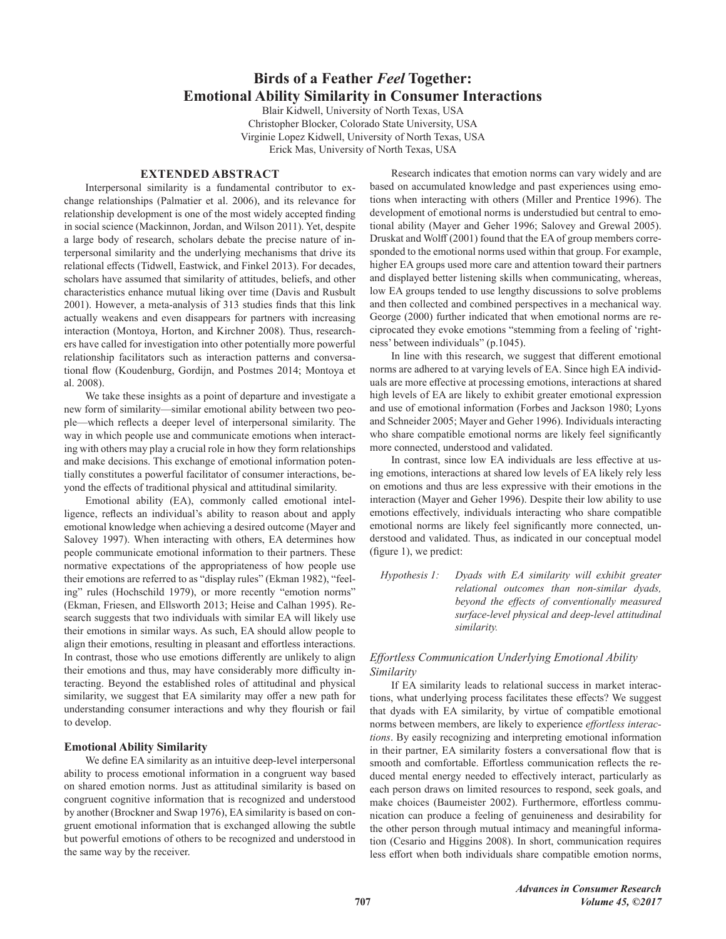# **Birds of a Feather Feel Together: Emotional Ability Similarity in Consumer Interactions**

Blair Kidwell, University of North Texas, USA Christopher Blocker, Colorado State University, USA Virginie Lopez Kidwell, University of North Texas, USA Erick Mas, University of North Texas, USA

# **EXTENDED ABSTRACT**

Interpersonal similarity is a fundamental contributor to exchange relationships (Palmatier et al. 2006), and its relevance for relationship development is one of the most widely accepted finding in social science (Mackinnon, Jordan, and Wilson 2011). Yet, despite a large body of research, scholars debate the precise nature of interpersonal similarity and the underlying mechanisms that drive its relational effects (Tidwell, Eastwick, and Finkel 2013). For decades, scholars have assumed that similarity of attitudes, beliefs, and other characteristics enhance mutual liking over time (Davis and Rusbult 2001). However, a meta-analysis of 313 studies finds that this link actually weakens and even disappears for partners with increasing interaction (Montoya, Horton, and Kirchner 2008). Thus, researchers have called for investigation into other potentially more powerful relationship facilitators such as interaction patterns and conversational flow (Koudenburg, Gordijn, and Postmes 2014; Montoya et al. 2008).

We take these insights as a point of departure and investigate a new form of similarity—similar emotional ability between two people—which reflects a deeper level of interpersonal similarity. The way in which people use and communicate emotions when interacting with others may play a crucial role in how they form relationships and make decisions. This exchange of emotional information potentially constitutes a powerful facilitator of consumer interactions, beyond the effects of traditional physical and attitudinal similarity.

Emotional ability (EA), commonly called emotional intelligence, reflects an individual's ability to reason about and apply emotional knowledge when achieving a desired outcome (Mayer and Salovey 1997). When interacting with others, EA determines how people communicate emotional information to their partners. These normative expectations of the appropriateness of how people use their emotions are referred to as "display rules" (Ekman 1982), "feeling" rules (Hochschild 1979), or more recently "emotion norms" (Ekman, Friesen, and Ellsworth 2013; Heise and Calhan 1995). Research suggests that two individuals with similar EA will likely use their emotions in similar ways. As such, EA should allow people to align their emotions, resulting in pleasant and effortless interactions. In contrast, those who use emotions differently are unlikely to align their emotions and thus, may have considerably more difficulty interacting. Beyond the established roles of attitudinal and physical similarity, we suggest that EA similarity may offer a new path for understanding consumer interactions and why they flourish or fail to develop.

#### **Emotional Ability Similarity**

We define EA similarity as an intuitive deep-level interpersonal ability to process emotional information in a congruent way based on shared emotion norms. Just as attitudinal similarity is based on congruent cognitive information that is recognized and understood by another (Brockner and Swap 1976), EA similarity is based on congruent emotional information that is exchanged allowing the subtle but powerful emotions of others to be recognized and understood in the same way by the receiver.

Research indicates that emotion norms can vary widely and are based on accumulated knowledge and past experiences using emotions when interacting with others (Miller and Prentice 1996). The development of emotional norms is understudied but central to emotional ability (Mayer and Geher 1996; Salovey and Grewal 2005). Druskat and Wolff (2001) found that the EA of group members corresponded to the emotional norms used within that group. For example, higher EA groups used more care and attention toward their partners and displayed better listening skills when communicating, whereas, low EA groups tended to use lengthy discussions to solve problems and then collected and combined perspectives in a mechanical way. George (2000) further indicated that when emotional norms are reciprocated they evoke emotions "stemming from a feeling of 'rightness' between individuals" (p.1045).

In line with this research, we suggest that different emotional norms are adhered to at varying levels of EA. Since high EA individuals are more effective at processing emotions, interactions at shared high levels of EA are likely to exhibit greater emotional expression and use of emotional information (Forbes and Jackson 1980; Lyons and Schneider 2005; Mayer and Geher 1996). Individuals interacting who share compatible emotional norms are likely feel significantly more connected, understood and validated.

In contrast, since low EA individuals are less effective at using emotions, interactions at shared low levels of EA likely rely less on emotions and thus are less expressive with their emotions in the interaction (Mayer and Geher 1996). Despite their low ability to use emotions effectively, individuals interacting who share compatible emotional norms are likely feel significantly more connected, understood and validated. Thus, as indicated in our conceptual model (figure 1), we predict:

Hypothesis 1: Dyads with EA similarity will exhibit greater relational outcomes than non-similar dyads, beyond the effects of conventionally measured surface-level physical and deep-level attitudinal similarity.

# Effortless Communication Underlying Emotional Ability Similarity

If EA similarity leads to relational success in market interactions, what underlying process facilitates these effects? We suggest that dyads with EA similarity, by virtue of compatible emotional norms between members, are likely to experience effortless interactions. By easily recognizing and interpreting emotional information in their partner, EA similarity fosters a conversational flow that is smooth and comfortable. Effortless communication reflects the reduced mental energy needed to effectively interact, particularly as each person draws on limited resources to respond, seek goals, and make choices (Baumeister 2002). Furthermore, effortless communication can produce a feeling of genuineness and desirability for the other person through mutual intimacy and meaningful information (Cesario and Higgins 2008). In short, communication requires less effort when both individuals share compatible emotion norms,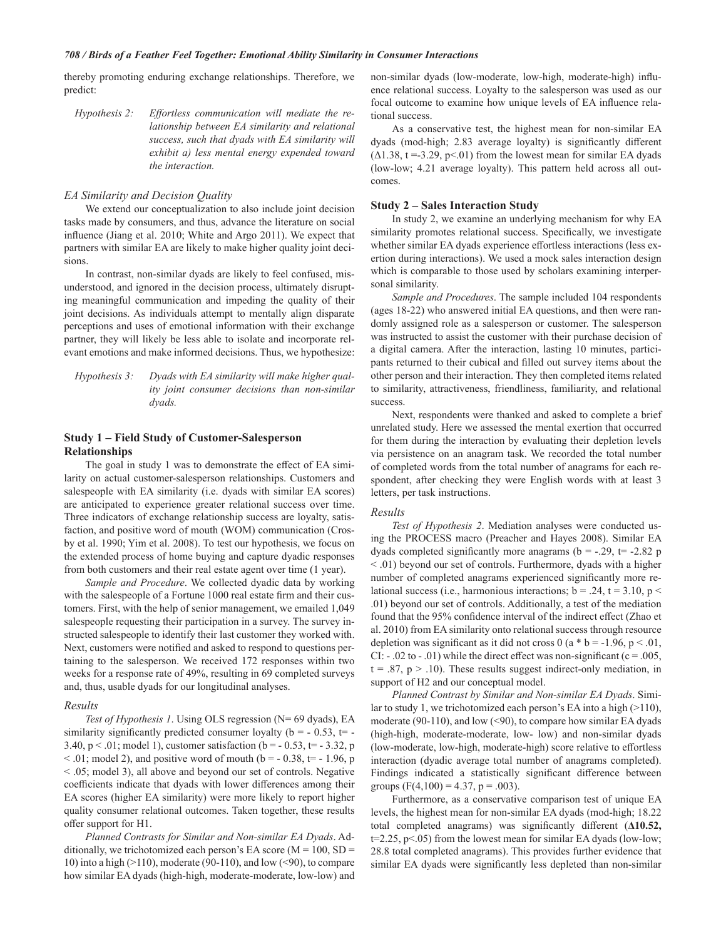#### 708 / Birds of a Feather Feel Together: Emotional Ability Similarity in Consumer Interactions

thereby promoting enduring exchange relationships. Therefore, we predict:

Hypothesis 2: Effortless communication will mediate the relationship between EA similarity and relational success, such that dyads with EA similarity will exhibit a) less mental energy expended toward the interaction.

#### EA Similarity and Decision Quality

We extend our conceptualization to also include joint decision tasks made by consumers, and thus, advance the literature on social influence (Jiang et al. 2010; White and Argo 2011). We expect that partners with similar EA are likely to make higher quality joint decisions.

In contrast, non-similar dyads are likely to feel confused, misunderstood, and ignored in the decision process, ultimately disrupting meaningful communication and impeding the quality of their joint decisions. As individuals attempt to mentally align disparate perceptions and uses of emotional information with their exchange partner, they will likely be less able to isolate and incorporate relevant emotions and make informed decisions. Thus, we hypothesize:

Hypothesis 3: Dyads with EA similarity will make higher quality joint consumer decisions than non-similar dvads.

## **Study 1 – Field Study of Customer-Salesperson Relationships**

The goal in study 1 was to demonstrate the effect of EA similarity on actual customer-salesperson relationships. Customers and salespeople with EA similarity (i.e. dyads with similar EA scores) are anticipated to experience greater relational success over time. Three indicators of exchange relationship success are loyalty, satisfaction, and positive word of mouth (WOM) communication (Crosby et al. 1990; Yim et al. 2008). To test our hypothesis, we focus on the extended process of home buying and capture dyadic responses from both customers and their real estate agent over time (1 year).

Sample and Procedure. We collected dyadic data by working with the salespeople of a Fortune 1000 real estate firm and their customers. First, with the help of senior management, we emailed 1,049 salespeople requesting their participation in a survey. The survey instructed salespeople to identify their last customer they worked with. Next, customers were notified and asked to respond to questions pertaining to the salesperson. We received 172 responses within two weeks for a response rate of 49%, resulting in 69 completed surveys and, thus, usable dyads for our longitudinal analyses.

#### Results

Test of Hypothesis 1. Using OLS regression (N= 69 dyads), EA similarity significantly predicted consumer loyalty ( $b = -0.53$ ,  $t = -0.53$ 3.40,  $p < .01$ ; model 1), customer satisfaction ( $b = -0.53$ ,  $t = -3.32$ , p < .01; model 2), and positive word of mouth ( $b = -0.38$ ,  $t = -1.96$ , p < .05; model 3), all above and beyond our set of controls. Negative coefficients indicate that dyads with lower differences among their EA scores (higher EA similarity) were more likely to report higher quality consumer relational outcomes. Taken together, these results offer support for H1.

Planned Contrasts for Similar and Non-similar EA Dyads. Additionally, we trichotomized each person's EA score ( $M = 100$ , SD = 10) into a high  $(>110)$ , moderate (90-110), and low (<90), to compare how similar EA dyads (high-high, moderate-moderate, low-low) and

non-similar dyads (low-moderate, low-high, moderate-high) influence relational success. Loyalty to the salesperson was used as our focal outcome to examine how unique levels of EA influence relational success

As a conservative test, the highest mean for non-similar EA dyads (mod-high; 2.83 average loyalty) is significantly different  $(\Delta 1.38, t = -3.29, p < 01)$  from the lowest mean for similar EA dyads (low-low; 4.21 average loyalty). This pattern held across all outcomes.

#### **Study 2 – Sales Interaction Study**

In study 2, we examine an underlying mechanism for why EA similarity promotes relational success. Specifically, we investigate whether similar EA dyads experience effortless interactions (less exertion during interactions). We used a mock sales interaction design which is comparable to those used by scholars examining interpersonal similarity.

Sample and Procedures. The sample included 104 respondents (ages 18-22) who answered initial EA questions, and then were randomly assigned role as a salesperson or customer. The salesperson was instructed to assist the customer with their purchase decision of a digital camera. After the interaction, lasting 10 minutes, participants returned to their cubical and filled out survey items about the other person and their interaction. They then completed items related to similarity, attractiveness, friendliness, familiarity, and relational success.

Next, respondents were thanked and asked to complete a brief unrelated study. Here we assessed the mental exertion that occurred for them during the interaction by evaluating their depletion levels via persistence on an anagram task. We recorded the total number of completed words from the total number of anagrams for each respondent, after checking they were English words with at least 3 letters, per task instructions.

#### Results

Test of Hypothesis 2. Mediation analyses were conducted using the PROCESS macro (Preacher and Hayes 2008). Similar EA dyads completed significantly more anagrams ( $b = -.29$ ,  $t = -2.82$  p < .01) beyond our set of controls. Furthermore, dyads with a higher number of completed anagrams experienced significantly more relational success (i.e., harmonious interactions;  $b = .24$ ,  $t = 3.10$ ,  $p <$ .01) beyond our set of controls. Additionally, a test of the mediation found that the 95% confidence interval of the indirect effect (Zhao et al. 2010) from EA similarity onto relational success through resource depletion was significant as it did not cross 0 ( $a * b = -1.96$ ,  $p < .01$ , CI: - .02 to - .01) while the direct effect was non-significant ( $c = .005$ ,  $t = .87$ ,  $p > .10$ ). These results suggest indirect-only mediation, in support of H2 and our conceptual model.

Planned Contrast by Similar and Non-similar EA Dyads. Similar to study 1, we trichotomized each person's EA into a high  $(>110)$ , moderate (90-110), and low (<90), to compare how similar EA dyads (high-high, moderate-moderate, low-low) and non-similar dyads (low-moderate, low-high, moderate-high) score relative to effortless interaction (dyadic average total number of anagrams completed). Findings indicated a statistically significant difference between groups (F(4,100) = 4.37, p = .003).

Furthermore, as a conservative comparison test of unique EA levels, the highest mean for non-similar EA dyads (mod-high; 18.22 total completed anagrams) was significantly different  $(\Delta 10.52,$  $t=2.25$ , p<.05) from the lowest mean for similar EA dyads (low-low; 28.8 total completed anagrams). This provides further evidence that similar EA dyads were significantly less depleted than non-similar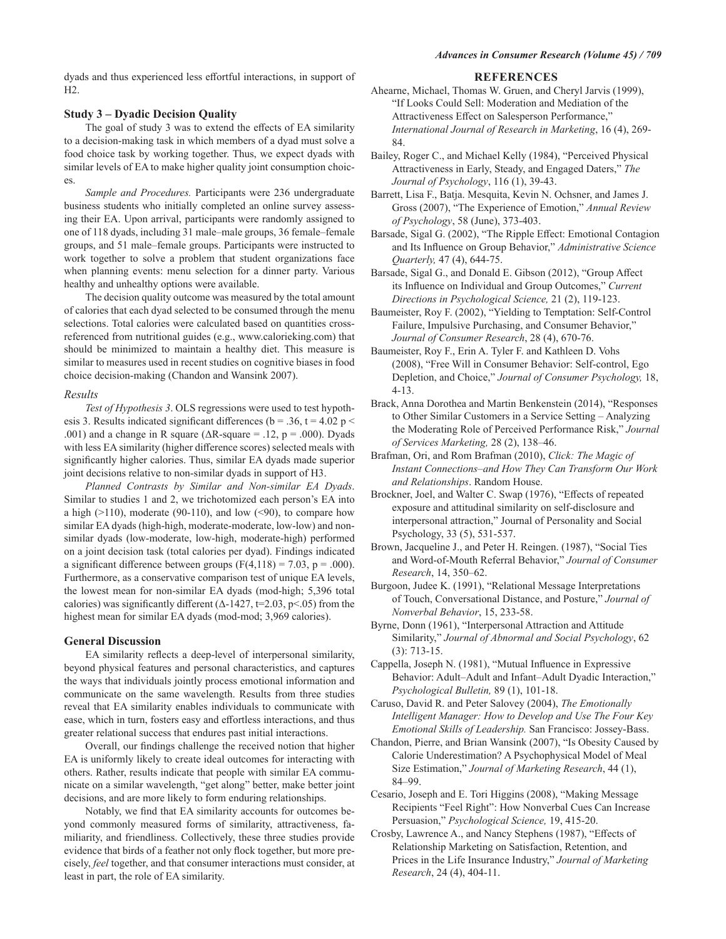dyads and thus experienced less effortful interactions, in support of  $H2.$ 

#### **Study 3 – Dyadic Decision Quality**

The goal of study 3 was to extend the effects of EA similarity to a decision-making task in which members of a dyad must solve a food choice task by working together. Thus, we expect dyads with similar levels of EA to make higher quality joint consumption choic $es$ 

Sample and Procedures. Participants were 236 undergraduate business students who initially completed an online survey assessing their EA. Upon arrival, participants were randomly assigned to one of 118 dyads, including 31 male–male groups, 36 female–female groups, and 51 male-female groups. Participants were instructed to work together to solve a problem that student organizations face when planning events: menu selection for a dinner party. Various healthy and unhealthy options were available.

The decision quality outcome was measured by the total amount of calories that each dyad selected to be consumed through the menu selections. Total calories were calculated based on quantities crossreferenced from nutritional guides (e.g., www.calorieking.com) that should be minimized to maintain a healthy diet. This measure is similar to measures used in recent studies on cognitive biases in food choice decision-making (Chandon and Wansink 2007).

#### Results

Test of Hypothesis 3. OLS regressions were used to test hypothesis 3. Results indicated significant differences ( $b = .36$ ,  $t = 4.02$  p < .001) and a change in R square ( $\Delta$ R-square = .12, p = .000). Dyads with less EA similarity (higher difference scores) selected meals with significantly higher calories. Thus, similar EA dyads made superior joint decisions relative to non-similar dyads in support of H3.

Planned Contrasts by Similar and Non-similar EA Dyads. Similar to studies 1 and 2, we trichotomized each person's EA into a high  $(>110)$ , moderate (90-110), and low  $(≤90)$ , to compare how similar EA dyads (high-high, moderate-moderate, low-low) and nonsimilar dyads (low-moderate, low-high, moderate-high) performed on a joint decision task (total calories per dyad). Findings indicated a significant difference between groups  $(F(4,118) = 7.03, p = .000)$ . Furthermore, as a conservative comparison test of unique EA levels, the lowest mean for non-similar EA dyads (mod-high; 5,396 total calories) was significantly different ( $\Delta$ -1427, t=2.03, p<.05) from the highest mean for similar EA dyads (mod-mod; 3,969 calories).

#### **General Discussion**

EA similarity reflects a deep-level of interpersonal similarity, beyond physical features and personal characteristics, and captures the ways that individuals jointly process emotional information and communicate on the same wavelength. Results from three studies reveal that EA similarity enables individuals to communicate with ease, which in turn, fosters easy and effortless interactions, and thus greater relational success that endures past initial interactions.

Overall, our findings challenge the received notion that higher EA is uniformly likely to create ideal outcomes for interacting with others. Rather, results indicate that people with similar EA communicate on a similar wavelength, "get along" better, make better joint decisions, and are more likely to form enduring relationships.

Notably, we find that EA similarity accounts for outcomes beyond commonly measured forms of similarity, attractiveness, familiarity, and friendliness. Collectively, these three studies provide evidence that birds of a feather not only flock together, but more precisely, feel together, and that consumer interactions must consider, at least in part, the role of EA similarity.

#### **REFERENCES**

Ahearne, Michael, Thomas W. Gruen, and Cheryl Jarvis (1999), "If Looks Could Sell: Moderation and Mediation of the Attractiveness Effect on Salesperson Performance," International Journal of Research in Marketing, 16 (4), 269-84.

Bailey, Roger C., and Michael Kelly (1984), "Perceived Physical Attractiveness in Early, Steady, and Engaged Daters," The Journal of Psychology, 116 (1), 39-43.

Barrett, Lisa F., Batja. Mesquita, Kevin N. Ochsner, and James J. Gross (2007), "The Experience of Emotion," Annual Review of Psychology, 58 (June), 373-403.

Barsade, Sigal G. (2002), "The Ripple Effect: Emotional Contagion and Its Influence on Group Behavior," Administrative Science Ouarterly, 47 (4), 644-75.

Barsade, Sigal G., and Donald E. Gibson (2012), "Group Affect its Influence on Individual and Group Outcomes," Current Directions in Psychological Science, 21 (2), 119-123.

Baumeister, Roy F. (2002), "Yielding to Temptation: Self-Control Failure, Impulsive Purchasing, and Consumer Behavior," Journal of Consumer Research, 28 (4), 670-76.

Baumeister, Roy F., Erin A. Tyler F. and Kathleen D. Vohs (2008), "Free Will in Consumer Behavior: Self-control, Ego Depletion, and Choice," Journal of Consumer Psychology, 18,  $4-13.$ 

Brack, Anna Dorothea and Martin Benkenstein (2014), "Responses to Other Similar Customers in a Service Setting – Analyzing the Moderating Role of Perceived Performance Risk," Journal of Services Marketing, 28 (2), 138-46.

Brafman, Ori, and Rom Brafman (2010), Click: The Magic of Instant Connections-and How They Can Transform Our Work and Relationships. Random House.

Brockner, Joel, and Walter C. Swap (1976), "Effects of repeated exposure and attitudinal similarity on self-disclosure and interpersonal attraction," Journal of Personality and Social Psychology, 33 (5), 531-537.

Brown, Jacqueline J., and Peter H. Reingen. (1987), "Social Ties and Word-of-Mouth Referral Behavior," Journal of Consumer Research, 14, 350-62.

Burgoon, Judee K. (1991), "Relational Message Interpretations of Touch, Conversational Distance, and Posture," Journal of Nonverbal Behavior, 15, 233-58.

Byrne, Donn (1961), "Interpersonal Attraction and Attitude Similarity," Journal of Abnormal and Social Psychology, 62  $(3): 713-15.$ 

Cappella, Joseph N. (1981), "Mutual Influence in Expressive Behavior: Adult-Adult and Infant-Adult Dyadic Interaction," Psychological Bulletin, 89 (1), 101-18.

Caruso, David R. and Peter Salovey (2004), The Emotionally Intelligent Manager: How to Develop and Use The Four Key Emotional Skills of Leadership. San Francisco: Jossey-Bass.

Chandon, Pierre, and Brian Wansink (2007), "Is Obesity Caused by Calorie Underestimation? A Psychophysical Model of Meal Size Estimation," Journal of Marketing Research, 44 (1), 84-99.

Cesario, Joseph and E. Tori Higgins (2008), "Making Message Recipients "Feel Right": How Nonverbal Cues Can Increase Persuasion," Psychological Science, 19, 415-20.

Crosby, Lawrence A., and Nancy Stephens (1987), "Effects of Relationship Marketing on Satisfaction, Retention, and Prices in the Life Insurance Industry," Journal of Marketing Research, 24 (4), 404-11.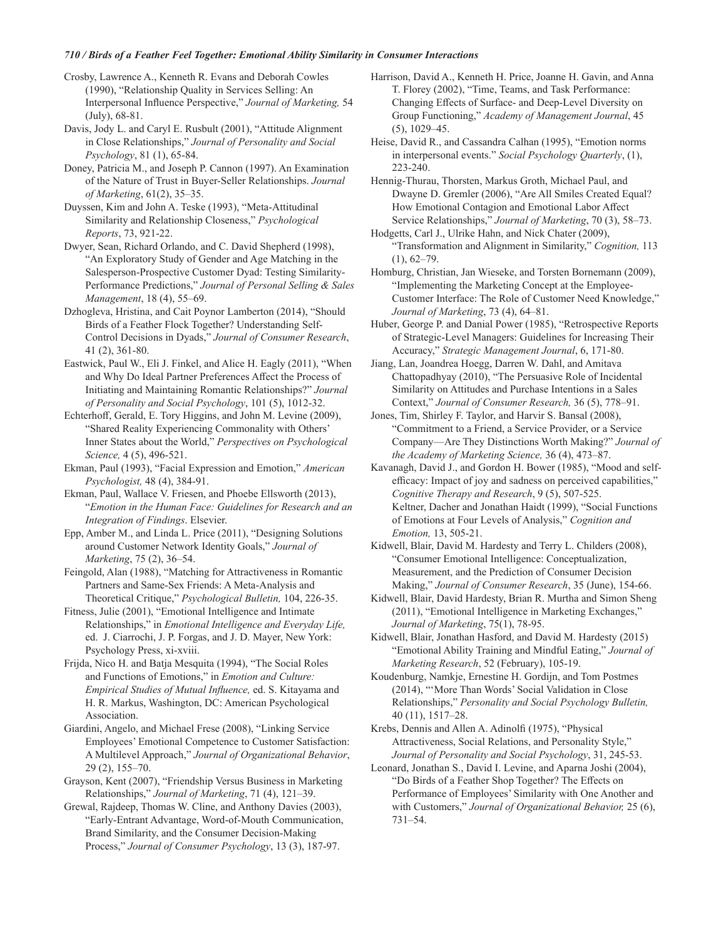# 710 / Birds of a Feather Feel Together: Emotional Ability Similarity in Consumer Interactions

Crosby, Lawrence A., Kenneth R. Evans and Deborah Cowles (1990), "Relationship Quality in Services Selling: An Interpersonal Influence Perspective," Journal of Marketing, 54  $(July), 68-81.$ 

Davis, Jody L. and Caryl E. Rusbult (2001), "Attitude Alignment in Close Relationships," Journal of Personality and Social Psychology, 81 (1), 65-84.

Doney, Patricia M., and Joseph P. Cannon (1997). An Examination of the Nature of Trust in Buyer-Seller Relationships. Journal of Marketing, 61(2), 35-35.

Duyssen, Kim and John A. Teske (1993), "Meta-Attitudinal Similarity and Relationship Closeness," Psychological Reports, 73, 921-22.

Dwyer, Sean, Richard Orlando, and C. David Shepherd (1998), "An Exploratory Study of Gender and Age Matching in the Salesperson-Prospective Customer Dyad: Testing Similarity-Performance Predictions," Journal of Personal Selling & Sales Management, 18 (4), 55-69.

Dzhogleva, Hristina, and Cait Poynor Lamberton (2014), "Should Birds of a Feather Flock Together? Understanding Self-Control Decisions in Dyads," Journal of Consumer Research,  $41(2), 361-80.$ 

Eastwick, Paul W., Eli J. Finkel, and Alice H. Eagly (2011), "When and Why Do Ideal Partner Preferences Affect the Process of Initiating and Maintaining Romantic Relationships?" Journal of Personality and Social Psychology, 101 (5), 1012-32.

Echterhoff, Gerald, E. Tory Higgins, and John M. Levine (2009), "Shared Reality Experiencing Commonality with Others' Inner States about the World," Perspectives on Psychological Science, 4 (5), 496-521.

Ekman, Paul (1993), "Facial Expression and Emotion," American Psychologist, 48 (4), 384-91.

Ekman, Paul, Wallace V. Friesen, and Phoebe Ellsworth (2013), "Emotion in the Human Face: Guidelines for Research and an Integration of Findings. Elsevier.

Epp, Amber M., and Linda L. Price (2011), "Designing Solutions around Customer Network Identity Goals," Journal of Marketing, 75 (2), 36-54.

Feingold, Alan (1988), "Matching for Attractiveness in Romantic Partners and Same-Sex Friends: A Meta-Analysis and Theoretical Critique," Psychological Bulletin, 104, 226-35.

Fitness, Julie (2001), "Emotional Intelligence and Intimate Relationships," in Emotional Intelligence and Everyday Life, ed. J. Ciarrochi, J. P. Forgas, and J. D. Mayer, New York: Psychology Press, xi-xviii.

Frijda, Nico H. and Batja Mesquita (1994), "The Social Roles and Functions of Emotions," in Emotion and Culture: Empirical Studies of Mutual Influence, ed. S. Kitayama and H. R. Markus, Washington, DC: American Psychological Association.

Giardini, Angelo, and Michael Frese (2008), "Linking Service Employees' Emotional Competence to Customer Satisfaction: A Multilevel Approach," Journal of Organizational Behavior,  $29(2)$ ,  $155-70$ .

Grayson, Kent (2007), "Friendship Versus Business in Marketing Relationships," Journal of Marketing, 71 (4), 121-39.

Grewal, Rajdeep, Thomas W. Cline, and Anthony Davies (2003), "Early-Entrant Advantage, Word-of-Mouth Communication, Brand Similarity, and the Consumer Decision-Making Process," Journal of Consumer Psychology, 13 (3), 187-97.

Harrison, David A., Kenneth H. Price, Joanne H. Gavin, and Anna T. Florey (2002), "Time, Teams, and Task Performance: Changing Effects of Surface- and Deep-Level Diversity on Group Functioning," Academy of Management Journal, 45  $(5)$ , 1029-45.

Heise, David R., and Cassandra Calhan (1995), "Emotion norms in interpersonal events." Social Psychology Quarterly, (1),  $223 - 240$ .

Hennig-Thurau, Thorsten, Markus Groth, Michael Paul, and Dwayne D. Gremler (2006), "Are All Smiles Created Equal? How Emotional Contagion and Emotional Labor Affect Service Relationships," Journal of Marketing, 70 (3), 58-73.

Hodgetts, Carl J., Ulrike Hahn, and Nick Chater (2009), "Transformation and Alignment in Similarity," Cognition, 113  $(1), 62-79.$ 

Homburg, Christian, Jan Wieseke, and Torsten Bornemann (2009), "Implementing the Marketing Concept at the Employee-Customer Interface: The Role of Customer Need Knowledge," Journal of Marketing, 73 (4), 64-81.

Huber, George P. and Danial Power (1985), "Retrospective Reports of Strategic-Level Managers: Guidelines for Increasing Their Accuracy," Strategic Management Journal, 6, 171-80.

Jiang, Lan, Joandrea Hoegg, Darren W. Dahl, and Amitava Chattopadhyay (2010), "The Persuasive Role of Incidental Similarity on Attitudes and Purchase Intentions in a Sales Context," Journal of Consumer Research, 36 (5), 778-91.

Jones, Tim, Shirley F. Taylor, and Harvir S. Bansal (2008), "Commitment to a Friend, a Service Provider, or a Service Company—Are They Distinctions Worth Making?" Journal of the Academy of Marketing Science, 36 (4), 473-87.

Kavanagh, David J., and Gordon H. Bower (1985), "Mood and selfefficacy: Impact of joy and sadness on perceived capabilities," Cognitive Therapy and Research, 9 (5), 507-525. Keltner, Dacher and Jonathan Haidt (1999), "Social Functions of Emotions at Four Levels of Analysis," Cognition and Emotion, 13, 505-21.

Kidwell, Blair, David M. Hardesty and Terry L. Childers (2008), "Consumer Emotional Intelligence: Conceptualization, Measurement, and the Prediction of Consumer Decision Making," Journal of Consumer Research, 35 (June), 154-66.

Kidwell, Blair, David Hardesty, Brian R. Murtha and Simon Sheng (2011), "Emotional Intelligence in Marketing Exchanges," Journal of Marketing, 75(1), 78-95.

Kidwell, Blair, Jonathan Hasford, and David M. Hardesty (2015) "Emotional Ability Training and Mindful Eating," Journal of Marketing Research, 52 (February), 105-19.

Koudenburg, Namkje, Ernestine H. Gordijn, and Tom Postmes (2014), "'More Than Words' Social Validation in Close Relationships," Personality and Social Psychology Bulletin, 40 (11), 1517-28.

Krebs, Dennis and Allen A. Adinolfi (1975), "Physical Attractiveness, Social Relations, and Personality Style," Journal of Personality and Social Psychology, 31, 245-53.

Leonard, Jonathan S., David I. Levine, and Aparna Joshi (2004), "Do Birds of a Feather Shop Together? The Effects on Performance of Employees' Similarity with One Another and with Customers," Journal of Organizational Behavior, 25 (6),  $731 - 54.$